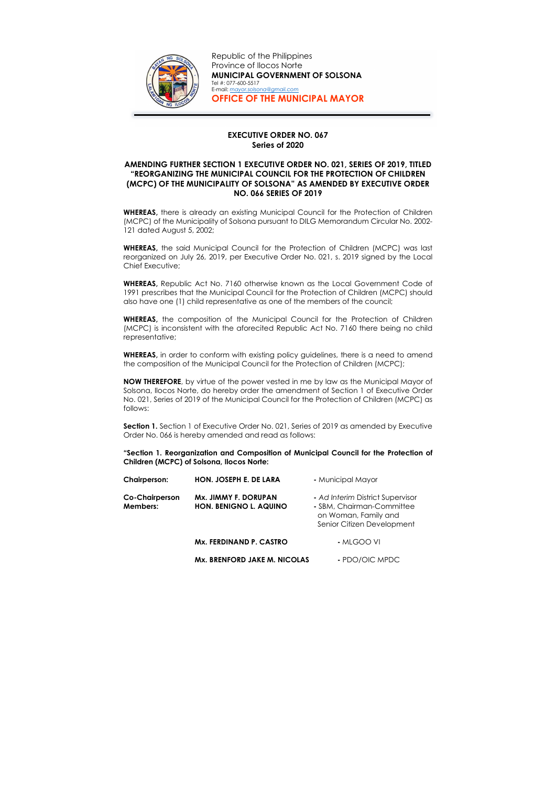## EXECUTIVE ORDER NO. 067 Series of 2020

## AMENDING FURTHER SECTION 1 EXECUTIVE ORDER NO. 021, SERIES OF 2019, TITLED "REORGANIZING THE MUNICIPAL COUNCIL FOR THE PROTECTION OF CHILDREN (MCPC) OF THE MUNICIPALITY OF SOLSONA" AS AMENDED BY EXECUTIVE ORDER NO. 066 SERIES OF 2019

WHEREAS, there is already an existing Municipal Council for the Protection of Children (MCPC) of the Municipality of Solsona pursuant to DILG Memorandum Circular No. 2002- 121 dated August 5, 2002;

WHEREAS, the said Municipal Council for the Protection of Children (MCPC) was last reorganized on July 26, 2019, per Executive Order No. 021, s. 2019 signed by the Local Chief Executive;

WHEREAS, in order to conform with existing policy guidelines, there is a need to amend the composition of the Municipal Council for the Protection of Children (MCPC);

WHEREAS, Republic Act No. 7160 otherwise known as the Local Government Code of 1991 prescribes that the Municipal Council for the Protection of Children (MCPC) should also have one (1) child representative as one of the members of the council;

Section 1. Section 1 of Executive Order No. 021, Series of 2019 as amended by Executive Order No. 066 is hereby amended and read as follows:

WHEREAS, the composition of the Municipal Council for the Protection of Children (MCPC) is inconsistent with the aforecited Republic Act No. 7160 there being no child representative;

NOW THEREFORE, by virtue of the power vested in me by law as the Municipal Mayor of Solsona, Ilocos Norte, do hereby order the amendment of Section 1 of Executive Order No. 021, Series of 2019 of the Municipal Council for the Protection of Children (MCPC) as follows:

"Section 1. Reorganization and Composition of Municipal Council for the Protection of Children (MCPC) of Solsona, Ilocos Norte:

| <b>Chairperson:</b>               | HON. JOSEPH E. DE LARA                                | - Municipal Mayor                                                                                                   |
|-----------------------------------|-------------------------------------------------------|---------------------------------------------------------------------------------------------------------------------|
| <b>Co-Chairperson</b><br>Members: | Mx. JIMMY F. DORUPAN<br><b>HON. BENIGNO L. AQUINO</b> | - Ad Interim District Supervisor<br>- SBM, Chairman-Committee<br>on Woman, Family and<br>Senior Citizen Development |
|                                   | Mx. FERDINAND P. CASTRO                               | - MLGOO VI                                                                                                          |
|                                   | Mx. BRENFORD JAKE M. NICOLAS                          | - PDO/OIC MPDC                                                                                                      |



Republic of the Philippines Province of Ilocos Norte MUNICIPAL GOVERNMENT OF SOLSONA Tel #: 077-600-5517 E-mail: mayor.solsona@gmail.com OFFICE OF THE MUNICIPAL MAYOR